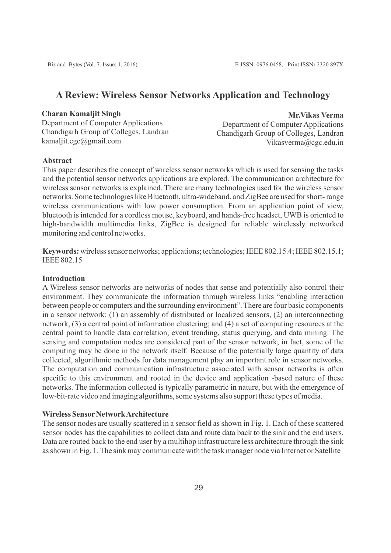# **A Review: Wireless Sensor Networks Application and Technology**

# **Charan Kamaljit Singh**

Department of Computer Applications Chandigarh Group of Colleges, Landran kamaljit.cgc@gmail.com

**Mr.Vikas Verma** Department of Computer Applications Chandigarh Group of Colleges, Landran Vikasverma@cgc.edu.in

#### **Abstract**

This paper describes the concept of wireless sensor networks which is used for sensing the tasks and the potential sensor networks applications are explored. The communication architecture for wireless sensor networks is explained. There are many technologies used for the wireless sensor networks. Some technologies like Bluetooth, ultra-wideband, and ZigBee are used for short- range wireless communications with low power consumption. From an application point of view, bluetooth is intended for a cordless mouse, keyboard, and hands-free headset, UWB is oriented to high-bandwidth multimedia links, ZigBee is designed for reliable wirelessly networked monitoring and control networks.

**Keywords:** wireless sensor networks; applications; technologies; IEEE 802.15.4; IEEE 802.15.1; IEEE 802.15

### **Introduction**

A Wireless sensor networks are networks of nodes that sense and potentially also control their environment. They communicate the information through wireless links "enabling interaction between people or computers and the surrounding environment". There are four basic components in a sensor network: (1) an assembly of distributed or localized sensors, (2) an interconnecting network, (3) a central point of information clustering; and (4) a set of computing resources at the central point to handle data correlation, event trending, status querying, and data mining. The sensing and computation nodes are considered part of the sensor network; in fact, some of the computing may be done in the network itself. Because of the potentially large quantity of data collected, algorithmic methods for data management play an important role in sensor networks. The computation and communication infrastructure associated with sensor networks is often specific to this environment and rooted in the device and application -based nature of these networks. The information collected is typically parametric in nature, but with the emergence of low-bit-rate video and imaging algorithms, some systems also support these types of media.

# **Wireless Sensor Network Architecture**

The sensor nodes are usually scattered in a sensor field as shown in Fig. 1. Each of these scattered sensor nodes has the capabilities to collect data and route data back to the sink and the end users. Data are routed back to the end user by a multihop infrastructure less architecture through the sink as shown in Fig. 1. The sink may communicate with the task manager node via Internet or Satellite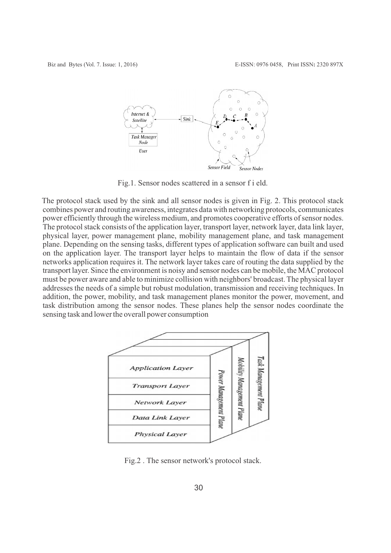

Fig.1. Sensor nodes scattered in a sensor f i eld.

The protocol stack used by the sink and all sensor nodes is given in Fig. 2. This protocol stack combines power and routing awareness, integrates data with networking protocols, communicates power efficiently through the wireless medium, and promotes cooperative efforts of sensor nodes. The protocol stack consists of the application layer, transport layer, network layer, data link layer, physical layer, power management plane, mobility management plane, and task management plane. Depending on the sensing tasks, different types of application software can built and used on the application layer. The transport layer helps to maintain the flow of data if the sensor networks application requires it. The network layer takes care of routing the data supplied by the transport layer. Since the environment is noisy and sensor nodes can be mobile, the MAC protocol must be power aware and able to minimize collision with neighbors' broadcast. The physical layer addresses the needs of a simple but robust modulation, transmission and receiving techniques. In addition, the power, mobility, and task management planes monitor the power, movement, and task distribution among the sensor nodes. These planes help the sensor nodes coordinate the sensing task and lower the overall power consumption



Fig.2 . The sensor network's protocol stack.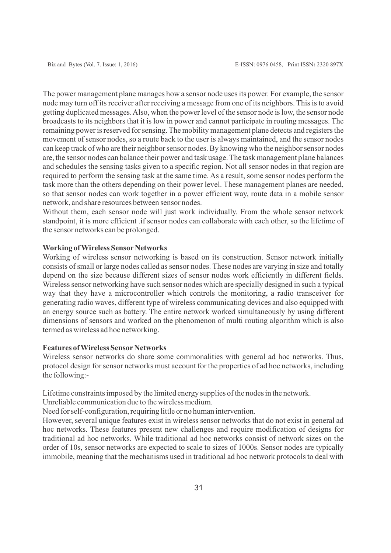The power management plane manages how a sensor node uses its power. For example, the sensor node may turn off its receiver after receiving a message from one of its neighbors. This is to avoid getting duplicated messages. Also, when the power level of the sensor node is low, the sensor node broadcasts to its neighbors that it is low in power and cannot participate in routing messages. The remaining power is reserved for sensing. The mobility management plane detects and registers the movement of sensor nodes, so a route back to the user is always maintained, and the sensor nodes can keep track of who are their neighbor sensor nodes. By knowing who the neighbor sensor nodes are, the sensor nodes can balance their power and task usage. The task management plane balances and schedules the sensing tasks given to a specific region. Not all sensor nodes in that region are required to perform the sensing task at the same time. As a result, some sensor nodes perform the task more than the others depending on their power level. These management planes are needed, so that sensor nodes can work together in a power efficient way, route data in a mobile sensor network, and share resources between sensor nodes.

Without them, each sensor node will just work individually. From the whole sensor network standpoint, it is more efficient .if sensor nodes can collaborate with each other, so the lifetime of the sensor networks can be prolonged.

### **Working of Wireless Sensor Networks**

Working of wireless sensor networking is based on its construction. Sensor network initially consists of small or large nodes called as sensor nodes. These nodes are varying in size and totally depend on the size because different sizes of sensor nodes work efficiently in different fields. Wireless sensor networking have such sensor nodes which are specially designed in such a typical way that they have a microcontroller which controls the monitoring, a radio transceiver for generating radio waves, different type of wireless communicating devices and also equipped with an energy source such as battery. The entire network worked simultaneously by using different dimensions of sensors and worked on the phenomenon of multi routing algorithm which is also termed as wireless ad hoc networking.

# **Features of Wireless Sensor Networks**

Wireless sensor networks do share some commonalities with general ad hoc networks. Thus, protocol design for sensor networks must account for the properties of ad hoc networks, including the following:-

Lifetime constraints imposed by the limited energy supplies of the nodes in the network.

Unreliable communication due to the wireless medium.

Need for self-configuration, requiring little or no human intervention.

However, several unique features exist in wireless sensor networks that do not exist in general ad hoc networks. These features present new challenges and require modification of designs for traditional ad hoc networks. While traditional ad hoc networks consist of network sizes on the order of 10s, sensor networks are expected to scale to sizes of 1000s. Sensor nodes are typically immobile, meaning that the mechanisms used in traditional ad hoc network protocols to deal with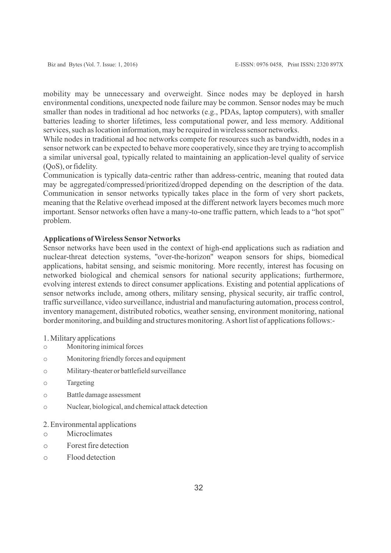mobility may be unnecessary and overweight. Since nodes may be deployed in harsh environmental conditions, unexpected node failure may be common. Sensor nodes may be much smaller than nodes in traditional ad hoc networks (e.g., PDAs, laptop computers), with smaller batteries leading to shorter lifetimes, less computational power, and less memory. Additional services, such as location information, may be required in wireless sensor networks.

While nodes in traditional ad hoc networks compete for resources such as bandwidth, nodes in a sensor network can be expected to behave more cooperatively, since they are trying to accomplish a similar universal goal, typically related to maintaining an application-level quality of service (QoS), or fidelity.

Communication is typically data-centric rather than address-centric, meaning that routed data may be aggregated/compressed/prioritized/dropped depending on the description of the data. Communication in sensor networks typically takes place in the form of very short packets, meaning that the Relative overhead imposed at the different network layers becomes much more important. Sensor networks often have a many-to-one traffic pattern, which leads to a "hot spot" problem.

#### **Applications of Wireless Sensor Networks**

Sensor networks have been used in the context of high-end applications such as radiation and nuclear-threat detection systems, ''over-the-horizon'' weapon sensors for ships, biomedical applications, habitat sensing, and seismic monitoring. More recently, interest has focusing on networked biological and chemical sensors for national security applications; furthermore, evolving interest extends to direct consumer applications. Existing and potential applications of sensor networks include, among others, military sensing, physical security, air traffic control, traffic surveillance, video surveillance, industrial and manufacturing automation, process control, inventory management, distributed robotics, weather sensing, environment monitoring, national border monitoring, and building and structures monitoring. Ashort list of applications follows:-

1. Military applications

- o Monitoring inimical forces
- o Monitoring friendly forces and equipment
- o Military-theater or battlefield surveillance
- o Targeting
- o Battle damage assessment
- o Nuclear, biological, and chemical attack detection

### 2. Environmental applications

- o Microclimates
- o Forest fire detection
- o Flood detection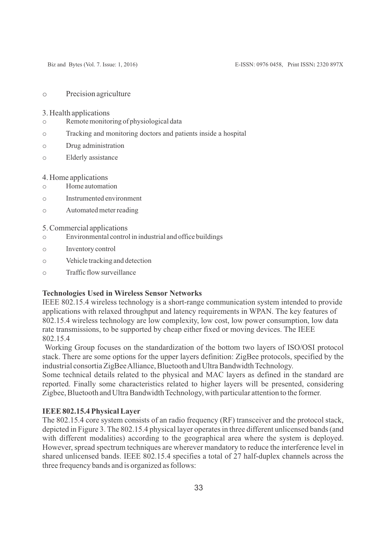- o Precision agriculture
- 3. Health applications
- o Remote monitoring of physiological data
- o Tracking and monitoring doctors and patients inside a hospital
- o Drug administration
- o Elderly assistance

#### 4. Home applications

- o Home automation
- o Instrumented environment
- o Automated meter reading

### 5. Commercial applications

- o Environmental control in industrial and office buildings
- o Inventory control
- o Vehicle tracking and detection
- o Traffic flow surveillance

# **Technologies Used in Wireless Sensor Networks**

IEEE 802.15.4 wireless technology is a short-range communication system intended to provide applications with relaxed throughput and latency requirements in WPAN. The key features of 802.15.4 wireless technology are low complexity, low cost, low power consumption, low data rate transmissions, to be supported by cheap either fixed or moving devices. The IEEE 802.15.4

Working Group focuses on the standardization of the bottom two layers of ISO/OSI protocol stack. There are some options for the upper layers definition: ZigBee protocols, specified by the industrial consortia ZigBee Alliance, Bluetooth and Ultra Bandwidth Technology.

Some technical details related to the physical and MAC layers as defined in the standard are reported. Finally some characteristics related to higher layers will be presented, considering Zigbee, Bluetooth and Ultra Bandwidth Technology, with particular attention to the former.

### **IEEE 802.15.4 Physical Layer**

The 802.15.4 core system consists of an radio frequency (RF) transceiver and the protocol stack, depicted in Figure 3. The 802.15.4 physical layer operates in three different unlicensed bands (and with different modalities) according to the geographical area where the system is deployed. However, spread spectrum techniques are wherever mandatory to reduce the interference level in shared unlicensed bands. IEEE 802.15.4 specifies a total of 27 half-duplex channels across the three frequency bands and is organized as follows: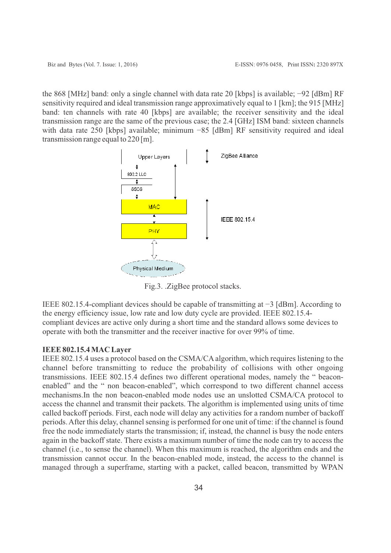the 868 [MHz] band: only a single channel with data rate 20 [kbps] is available; −92 [dBm] RF sensitivity required and ideal transmission range approximatively equal to 1 [km]; the 915 [MHz] band: ten channels with rate 40 [kbps] are available; the receiver sensitivity and the ideal transmission range are the same of the previous case; the 2.4 [GHz] ISM band: sixteen channels with data rate 250 [kbps] available; minimum −85 [dBm] RF sensitivity required and ideal transmission range equal to 220 [m].



Fig.3. .ZigBee protocol stacks.

IEEE 802.15.4-compliant devices should be capable of transmitting at −3 [dBm]. According to the energy efficiency issue, low rate and low duty cycle are provided. IEEE 802.15.4 compliant devices are active only during a short time and the standard allows some devices to operate with both the transmitter and the receiver inactive for over 99% of time.

#### **IEEE 802.15.4 MAC Layer**

IEEE 802.15.4 uses a protocol based on the CSMA/CA algorithm, which requires listening to the channel before transmitting to reduce the probability of collisions with other ongoing transmissions. IEEE 802.15.4 defines two different operational modes, namely the " beaconenabled" and the " non beacon-enabled", which correspond to two different channel access mechanisms.In the non beacon-enabled mode nodes use an unslotted CSMA/CA protocol to access the channel and transmit their packets. The algorithm is implemented using units of time called backoff periods. First, each node will delay any activities for a random number of backoff periods. After this delay, channel sensing is performed for one unit of time: if the channel is found free the node immediately starts the transmission; if, instead, the channel is busy the node enters again in the backoff state. There exists a maximum number of time the node can try to access the channel (i.e., to sense the channel). When this maximum is reached, the algorithm ends and the transmission cannot occur. In the beacon-enabled mode, instead, the access to the channel is managed through a superframe, starting with a packet, called beacon, transmitted by WPAN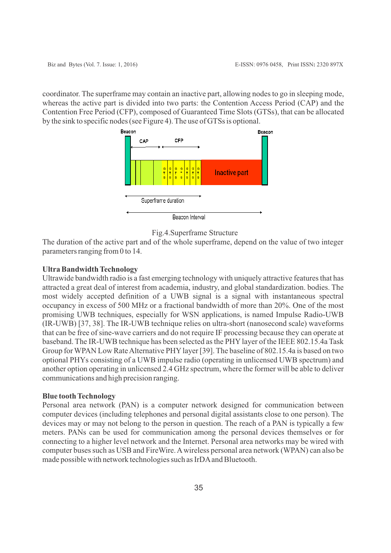coordinator. The superframe may contain an inactive part, allowing nodes to go in sleeping mode, whereas the active part is divided into two parts: the Contention Access Period (CAP) and the Contention Free Period (CFP), composed of Guaranteed Time Slots (GTSs), that can be allocated by the sink to specific nodes (see Figure 4). The use of GTSs is optional.



### Fig.4.Superframe Structure

The duration of the active part and of the whole superframe, depend on the value of two integer parameters ranging from 0 to 14.

### **Ultra Bandwidth Technology**

Ultrawide bandwidth radio is a fast emerging technology with uniquely attractive features that has attracted a great deal of interest from academia, industry, and global standardization. bodies. The most widely accepted definition of a UWB signal is a signal with instantaneous spectral occupancy in excess of 500 MHz or a fractional bandwidth of more than 20%. One of the most promising UWB techniques, especially for WSN applications, is named Impulse Radio-UWB (IR-UWB) [37, 38]. The IR-UWB technique relies on ultra-short (nanosecond scale) waveforms that can be free of sine-wave carriers and do not require IF processing because they can operate at baseband. The IR-UWB technique has been selected as the PHYlayer of the IEEE 802.15.4a Task Group for WPAN Low Rate Alternative PHYlayer [39]. The baseline of 802.15.4a is based on two optional PHYs consisting of a UWB impulse radio (operating in unlicensed UWB spectrum) and another option operating in unlicensed 2.4 GHz spectrum, where the former will be able to deliver communications and high precision ranging.

#### **Blue tooth Technology**

Personal area network (PAN) is a computer network designed for communication between computer devices (including telephones and personal digital assistants close to one person). The devices may or may not belong to the person in question. The reach of a PAN is typically a few meters. PANs can be used for communication among the personal devices themselves or for connecting to a higher level network and the Internet. Personal area networks may be wired with computer buses such as USB and FireWire. Awireless personal area network (WPAN) can also be made possible with network technologies such as IrDAand Bluetooth.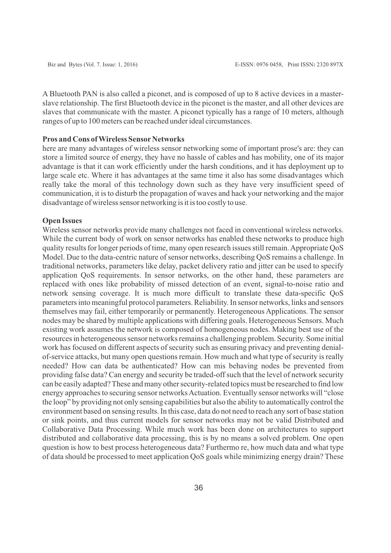A Bluetooth PAN is also called a piconet, and is composed of up to 8 active devices in a masterslave relationship. The first Bluetooth device in the piconet is the master, and all other devices are slaves that communicate with the master. A piconet typically has a range of 10 meters, although ranges of up to 100 meters can be reached under ideal circumstances.

### **Pros and Cons of Wireless Sensor Networks**

here are many advantages of wireless sensor networking some of important prose's are: they can store a limited source of energy, they have no hassle of cables and has mobility, one of its major advantage is that it can work efficiently under the harsh conditions, and it has deployment up to large scale etc. Where it has advantages at the same time it also has some disadvantages which really take the moral of this technology down such as they have very insufficient speed of communication, it is to disturb the propagation of waves and hack your networking and the major disadvantage of wireless sensor networking is it is too costly to use.

#### **Open Issues**

Wireless sensor networks provide many challenges not faced in conventional wireless networks. While the current body of work on sensor networks has enabled these networks to produce high quality results for longer periods of time, many open research issues still remain. Appropriate QoS Model. Due to the data-centric nature of sensor networks, describing QoS remains a challenge. In traditional networks, parameters like delay, packet delivery ratio and jitter can be used to specify application QoS requirements. In sensor networks, on the other hand, these parameters are replaced with ones like probability of missed detection of an event, signal-to-noise ratio and network sensing coverage. It is much more difficult to translate these data-specific QoS parameters into meaningful protocol parameters. Reliability. In sensor networks, links and sensors themselves may fail, either temporarily or permanently. Heterogeneous Applications. The sensor nodes may be shared by multiple applications with differing goals. Heterogeneous Sensors. Much existing work assumes the network is composed of homogeneous nodes. Making best use of the resources in heterogeneous sensor networks remains a challenging problem. Security. Some initial work has focused on different aspects of security such as ensuring privacy and preventing denialof-service attacks, but many open questions remain. How much and what type of security is really needed? How can data be authenticated? How can mis behaving nodes be prevented from providing false data? Can energy and security be traded-off such that the level of network security can be easily adapted? These and many other security-related topics must be researched to find low energy approaches to securing sensor networks Actuation. Eventually sensor networks will "close the loop" by providing not only sensing capabilities but also the ability to automatically control the environment based on sensing results. In this case, data do not need to reach any sort of base station or sink points, and thus current models for sensor networks may not be valid Distributed and Collaborative Data Processing. While much work has been done on architectures to support distributed and collaborative data processing, this is by no means a solved problem. One open question is how to best process heterogeneous data? Furthermo re, how much data and what type of data should be processed to meet application QoS goals while minimizing energy drain? These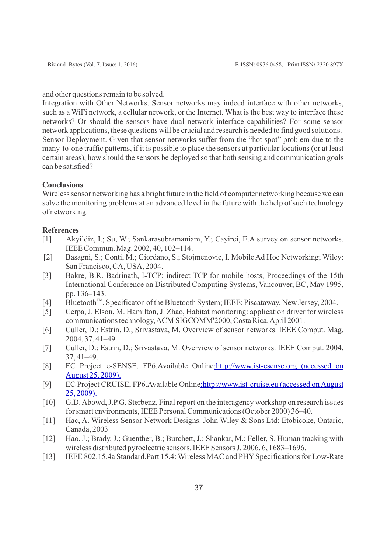and other questions remain to be solved.

Integration with Other Networks. Sensor networks may indeed interface with other networks, such as a WiFi network, a cellular network, or the Internet. What is the best way to interface these networks? Or should the sensors have dual network interface capabilities? For some sensor network applications, these questions will be crucial and research is needed to find good solutions. Sensor Deployment. Given that sensor networks suffer from the "hot spot" problem due to the many-to-one traffic patterns, if it is possible to place the sensors at particular locations (or at least certain areas), how should the sensors be deployed so that both sensing and communication goals can be satisfied?

### **Conclusions**

Wireless sensor networking has a bright future in the field of computer networking because we can solve the monitoring problems at an advanced level in the future with the help of such technology of networking.

### **References**

- [1] Akyildiz, I.; Su, W.; Sankarasubramaniam, Y.; Cayirci, E.A survey on sensor networks. IEEE Commun. Mag. 2002, 40, 102–114.
- [2] Basagni, S.; Conti, M.; Giordano, S.; Stojmenovic, I. Mobile Ad Hoc Networking; Wiley: San Francisco, CA, USA, 2004.
- [3] Bakre, B.R. Badrinath, I-TCP: indirect TCP for mobile hosts, Proceedings of the 15th International Conference on Distributed Computing Systems, Vancouver, BC, May 1995, pp. 136–143.
- $[T4]$  Bluetooth<sup>TM</sup>. Specificaton of the Bluetooth System; IEEE: Piscataway, New Jersey, 2004.
- [5] Cerpa, J. Elson, M. Hamilton, J. Zhao, Habitat monitoring: application driver for wireless communications technology, ACM SIGCOMM'2000, Costa Rica, April 2001.
- [6] Culler, D.; Estrin, D.; Srivastava, M. Overview of sensor networks. IEEE Comput. Mag. 2004, 37, 41–49.
- [7] Culler, D.; Estrin, D.; Srivastava, M. Overview of sensor networks. IEEE Comput. 2004, 37, 41–49.
- [8] EC Project e-SENSE, FP6.Available Onlin[e:http://www.ist-esense.org \(accessed on](http://www.ist-esense.org)  [August 25, 2009\).](http://www.ist-esense.org)
- [9] EC Project CRUISE, FP6.Available Onlin[e:http://www.ist-cruise.eu \(accessed on August](http://www.ist-cruise.eu)  [25, 2009\).](http://www.ist-cruise.eu)
- [10] G.D. Abowd, J.P.G. Sterbenz, Final report on the interagency workshop on research issues for smart environments, IEEE Personal Communications (October 2000) 36–40.
- [11] Hac, A. Wireless Sensor Network Designs. John Wiley & Sons Ltd: Etobicoke, Ontario, Canada, 2003
- [12] Hao, J.; Brady, J.; Guenther, B.; Burchett, J.; Shankar, M.; Feller, S. Human tracking with wireless distributed pyroelectric sensors. IEEE Sensors J. 2006, 6, 1683–1696.
- [13] IEEE 802.15.4a Standard.Part 15.4: Wireless MAC and PHYSpecifications for Low-Rate